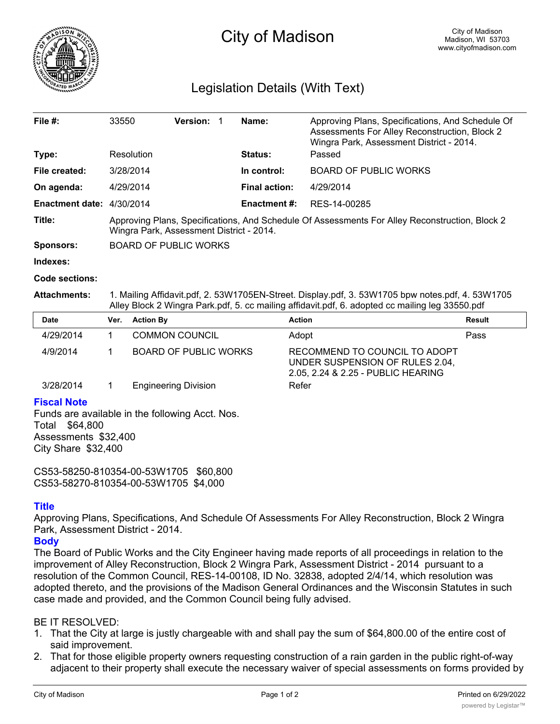

# City of Madison

# Legislation Details (With Text)

| File $#$ :                | 33550                                                                                                                                      | <b>Version:</b> |  | Name:                | Approving Plans, Specifications, And Schedule Of<br>Assessments For Alley Reconstruction, Block 2<br>Wingra Park, Assessment District - 2014. |  |  |
|---------------------------|--------------------------------------------------------------------------------------------------------------------------------------------|-----------------|--|----------------------|-----------------------------------------------------------------------------------------------------------------------------------------------|--|--|
| Type:                     | Resolution                                                                                                                                 |                 |  | <b>Status:</b>       | Passed                                                                                                                                        |  |  |
| File created:             | 3/28/2014                                                                                                                                  |                 |  | In control:          | <b>BOARD OF PUBLIC WORKS</b>                                                                                                                  |  |  |
| On agenda:                | 4/29/2014                                                                                                                                  |                 |  | <b>Final action:</b> | 4/29/2014                                                                                                                                     |  |  |
| Enactment date: 4/30/2014 |                                                                                                                                            |                 |  | <b>Enactment #:</b>  | RES-14-00285                                                                                                                                  |  |  |
| Title:                    | Approving Plans, Specifications, And Schedule Of Assessments For Alley Reconstruction, Block 2<br>Wingra Park, Assessment District - 2014. |                 |  |                      |                                                                                                                                               |  |  |
| <b>Sponsors:</b>          | <b>BOARD OF PUBLIC WORKS</b>                                                                                                               |                 |  |                      |                                                                                                                                               |  |  |
| Indexes:                  |                                                                                                                                            |                 |  |                      |                                                                                                                                               |  |  |
| Code sections:            |                                                                                                                                            |                 |  |                      |                                                                                                                                               |  |  |

**Attachments:** 1. Mailing Affidavit.pdf, 2. 53W1705EN-Street. Display.pdf, 3. 53W1705 bpw notes.pdf, 4. 53W1705 Alley Block 2 Wingra Park.pdf, 5. cc mailing affidavit.pdf, 6. adopted cc mailing leg 33550.pdf

| <b>Date</b> | Ver. | <b>Action By</b>             | <b>Action</b>                                                                                          | <b>Result</b> |
|-------------|------|------------------------------|--------------------------------------------------------------------------------------------------------|---------------|
| 4/29/2014   |      | <b>COMMON COUNCIL</b>        | Adopt                                                                                                  | Pass          |
| 4/9/2014    |      | <b>BOARD OF PUBLIC WORKS</b> | RECOMMEND TO COUNCIL TO ADOPT<br>UNDER SUSPENSION OF RULES 2.04,<br>2.05, 2.24 & 2.25 - PUBLIC HEARING |               |
| 3/28/2014   |      | <b>Engineering Division</b>  | Refer                                                                                                  |               |

#### **Fiscal Note**

Funds are available in the following Acct. Nos. Total \$64,800 Assessments \$32,400 City Share \$32,400

CS53-58250-810354-00-53W1705 \$60,800 CS53-58270-810354-00-53W1705 \$4,000

### **Title**

Approving Plans, Specifications, And Schedule Of Assessments For Alley Reconstruction, Block 2 Wingra Park, Assessment District - 2014.

### **Body**

The Board of Public Works and the City Engineer having made reports of all proceedings in relation to the improvement of Alley Reconstruction, Block 2 Wingra Park, Assessment District - 2014 pursuant to a resolution of the Common Council, RES-14-00108, ID No. 32838, adopted 2/4/14, which resolution was adopted thereto, and the provisions of the Madison General Ordinances and the Wisconsin Statutes in such case made and provided, and the Common Council being fully advised.

#### BE IT RESOLVED:

- 1. That the City at large is justly chargeable with and shall pay the sum of \$64,800.00 of the entire cost of said improvement.
- 2. That for those eligible property owners requesting construction of a rain garden in the public right-of-way adjacent to their property shall execute the necessary waiver of special assessments on forms provided by